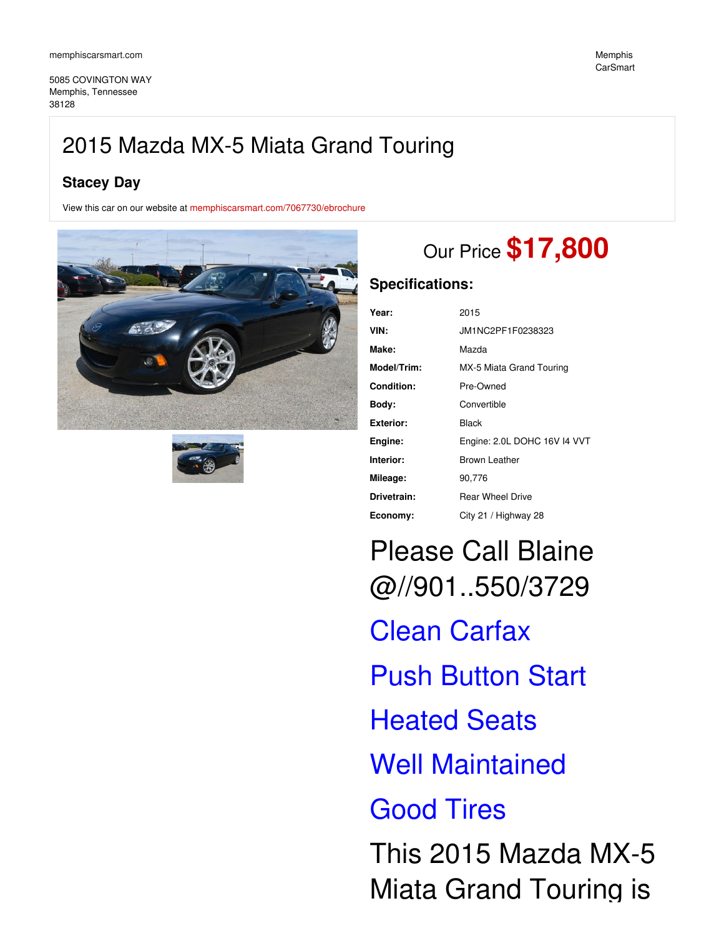5085 COVINGTON WAY Memphis, Tennessee 38128

## **Stacey Day**

View this car on our website at [memphiscarsmart.com/7067730/ebrochure](https://memphiscarsmart.com/vehicle/7067730/2015-mazda-mx-5-miata-grand-touring-memphis-tennessee-38128/7067730/ebrochure)





# Our Price **\$17,800**

### **Specifications:**

| Year:             | 2015                         |
|-------------------|------------------------------|
| VIN:              | JM1NC2PF1F0238323            |
| Make:             | Mazda                        |
| Model/Trim:       | MX-5 Miata Grand Touring     |
| <b>Condition:</b> | Pre-Owned                    |
| Body:             | Convertible                  |
| <b>Exterior:</b>  | Black                        |
| Engine:           | Engine: 2.0L DOHC 16V I4 VVT |
| Interior:         | <b>Brown Leather</b>         |
| Mileage:          | 90,776                       |
| Drivetrain:       | <b>Rear Wheel Drive</b>      |
| Economy:          | City 21 / Highway 28         |

Please Call Blaine @//901..550/3729 Clean Carfax Push Button Start Heated Seats Well Maintained Good Tires This 2015 Mazda MX-5 Miata Grand Touring is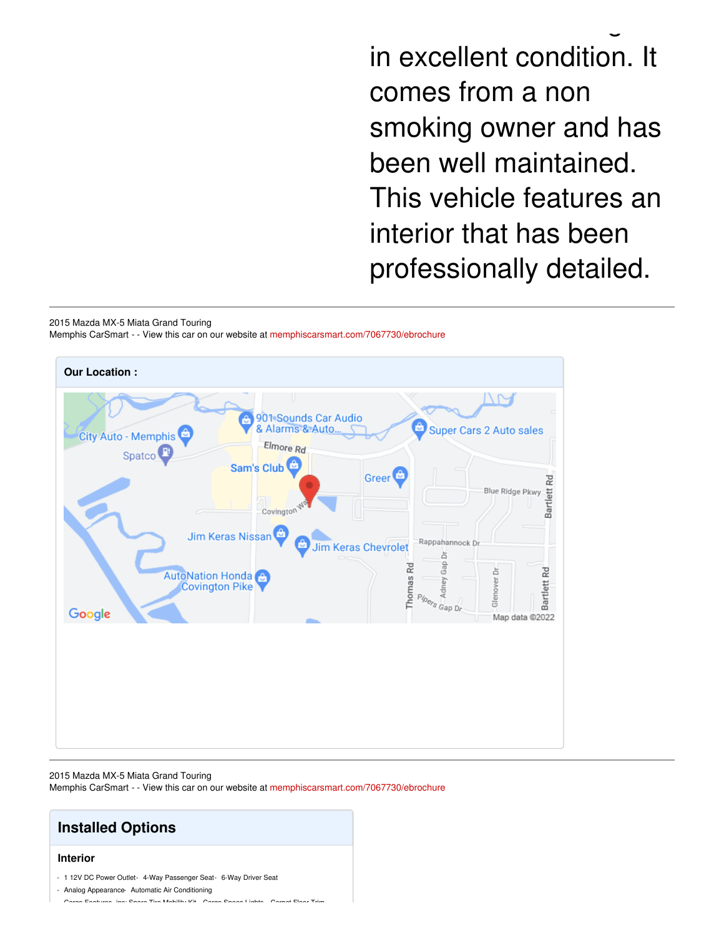in excellent condition. It comes from a non smoking owner and has been well maintained. This vehicle features an interior that has been professionally detailed.

Miata Grand Touring is

2015 Mazda MX-5 Miata Grand Touring Memphis CarSmart - - View this car on our website at [memphiscarsmart.com/7067730/ebrochure](https://memphiscarsmart.com/vehicle/7067730/2015-mazda-mx-5-miata-grand-touring-memphis-tennessee-38128/7067730/ebrochure)



#### 2015 Mazda MX-5 Miata Grand Touring

Memphis CarSmart - - View this car on our website at [memphiscarsmart.com/7067730/ebrochure](https://memphiscarsmart.com/vehicle/7067730/2015-mazda-mx-5-miata-grand-touring-memphis-tennessee-38128/7067730/ebrochure)

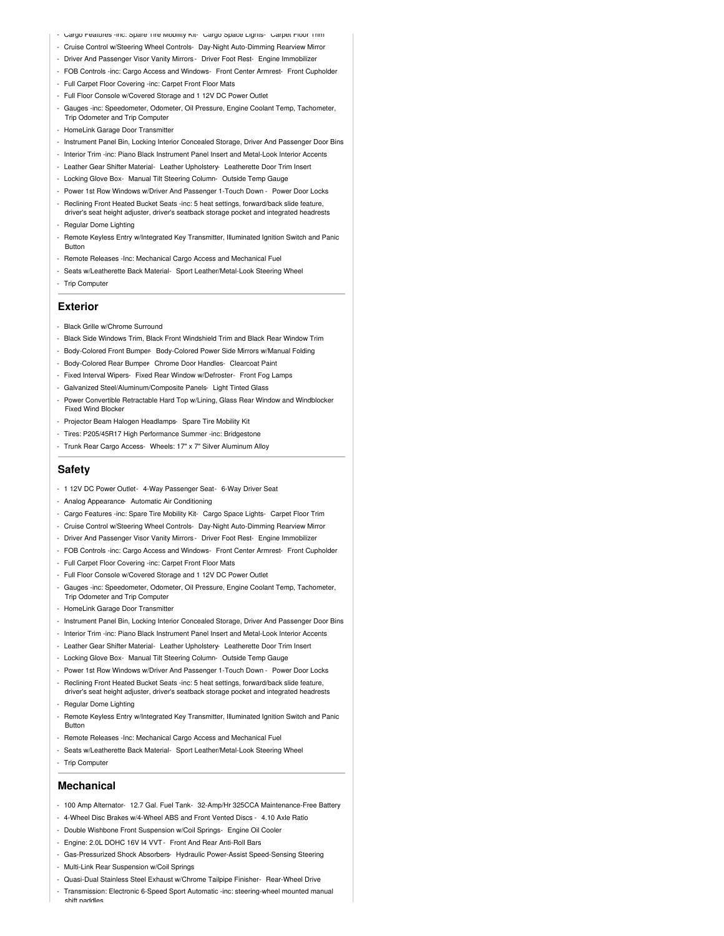- Cargo Features -inc: Spare Tire Mobility Kit- Cargo Space Lights- Carpet Floor Trim
- Cruise Control w/Steering Wheel Controls- Day-Night Auto-Dimming Rearview Mirror
- Driver And Passenger Visor Vanity Mirrors Driver Foot Rest- Engine Immobilizer
- FOB Controls -inc: Cargo Access and Windows- Front Center Armrest- Front Cupholder
- Full Carpet Floor Covering -inc: Carpet Front Floor Mats
- Full Floor Console w/Covered Storage and 1 12V DC Power Outlet
- Gauges -inc: Speedometer, Odometer, Oil Pressure, Engine Coolant Temp, Tachometer, Trip Odometer and Trip Computer
- HomeLink Garage Door Transmitter
- Instrument Panel Bin, Locking Interior Concealed Storage, Driver And Passenger Door Bins
- Interior Trim -inc: Piano Black Instrument Panel Insert and Metal-Look Interior Accents
- Leather Gear Shifter Material- Leather Upholstery- Leatherette Door Trim Insert
- Locking Glove Box- Manual Tilt Steering Column- Outside Temp Gauge
- Power 1st Row Windows w/Driver And Passenger 1-Touch Down Power Door Locks
- Reclining Front Heated Bucket Seats -inc: 5 heat settings, forward/back slide feature, driver's seat height adjuster, driver's seatback storage pocket and integrated headrests
- Regular Dome Lighting
- Remote Keyless Entry w/Integrated Key Transmitter, Illuminated Ignition Switch and Panic Button
- Remote Releases -Inc: Mechanical Cargo Access and Mechanical Fuel
- Seats w/Leatherette Back Material- Sport Leather/Metal-Look Steering Wheel
- Trip Computer

#### **Exterior**

- Black Grille w/Chrome Surround
- Black Side Windows Trim, Black Front Windshield Trim and Black Rear Window Trim
- Body-Colored Front Bumper- Body-Colored Power Side Mirrors w/Manual Folding
- Body-Colored Rear Bumper- Chrome Door Handles- Clearcoat Paint
- Fixed Interval Wipers- Fixed Rear Window w/Defroster- Front Fog Lamps
- Galvanized Steel/Aluminum/Composite Panels- Light Tinted Glass - Power Convertible Retractable Hard Top w/Lining, Glass Rear Window and Windblocker
- Fixed Wind Blocker - Projector Beam Halogen Headlamps- Spare Tire Mobility Kit
- Tires: P205/45R17 High Performance Summer -inc: Bridgestone
- Trunk Rear Cargo Access- Wheels: 17" x 7" Silver Aluminum Alloy

#### **Safety**

- 1 12V DC Power Outlet- 4-Way Passenger Seat- 6-Way Driver Seat
- Analog Appearance- Automatic Air Conditioning
- Cargo Features -inc: Spare Tire Mobility Kit- Cargo Space Lights- Carpet Floor Trim
- Cruise Control w/Steering Wheel Controls- Day-Night Auto-Dimming Rearview Mirror
- Driver And Passenger Visor Vanity Mirrors Driver Foot Rest- Engine Immobilizer
- FOB Controls -inc: Cargo Access and Windows- Front Center Armrest- Front Cupholder
- Full Carpet Floor Covering -inc: Carpet Front Floor Mats
- Full Floor Console w/Covered Storage and 1 12V DC Power Outlet
- Gauges -inc: Speedometer, Odometer, Oil Pressure, Engine Coolant Temp, Tachometer, Trip Odometer and Trip Computer
- HomeLink Garage Door Transmitter
- Instrument Panel Bin, Locking Interior Concealed Storage, Driver And Passenger Door Bins
- Interior Trim -inc: Piano Black Instrument Panel Insert and Metal-Look Interior Accents
- Leather Gear Shifter Material- Leather Upholstery- Leatherette Door Trim Insert
- Locking Glove Box- Manual Tilt Steering Column- Outside Temp Gauge
- Power 1st Row Windows w/Driver And Passenger 1-Touch Down Power Door Locks
- Reclining Front Heated Bucket Seats -inc: 5 heat settings, forward/back slide feature, driver's seat height adjuster, driver's seatback storage pocket and integrated headrests
- Regular Dome Lighting
- Remote Keyless Entry w/Integrated Key Transmitter, Illuminated Ignition Switch and Panic Button
- Remote Releases -Inc: Mechanical Cargo Access and Mechanical Fuel
- Seats w/Leatherette Back Material- Sport Leather/Metal-Look Steering Wheel
- Trip Computer

#### **Mechanical**

- 100 Amp Alternator- 12.7 Gal. Fuel Tank- 32-Amp/Hr 325CCA Maintenance-Free Battery
- 4-Wheel Disc Brakes w/4-Wheel ABS and Front Vented Discs 4.10 Axle Ratio
- Double Wishbone Front Suspension w/Coil Springs- Engine Oil Cooler
- Engine: 2.0L DOHC 16V I4 VVT- Front And Rear Anti-Roll Bars
- Gas-Pressurized Shock Absorbers- Hydraulic Power-Assist Speed-Sensing Steering
- Multi-Link Rear Suspension w/Coil Springs
- Quasi-Dual Stainless Steel Exhaust w/Chrome Tailpipe Finisher- Rear-Wheel Drive
- Transmission: Electronic 6-Speed Sport Automatic -inc: steering-wheel mounted manual shift paddles